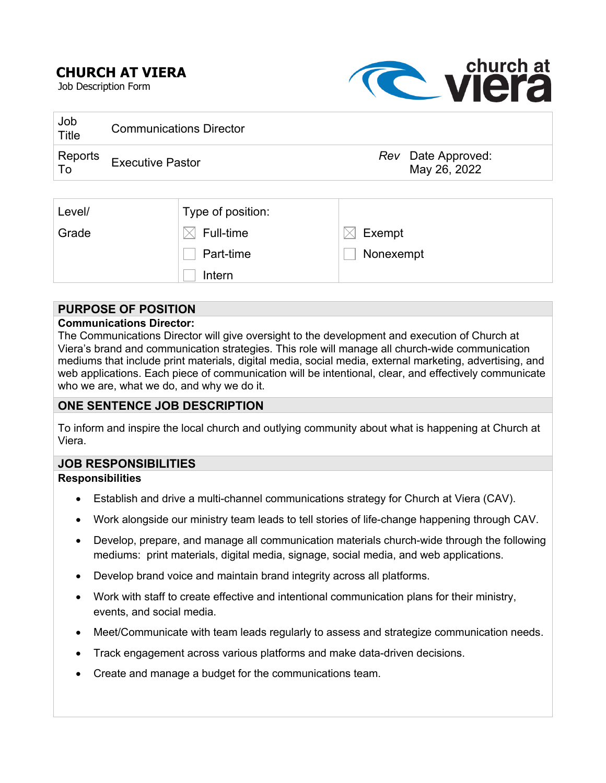# **CHURCH AT VIERA**

Job Description Form



| Job<br>Title    | <b>Communications Director</b> |                                    |
|-----------------|--------------------------------|------------------------------------|
| Reports<br>⊦ To | <b>Executive Pastor</b>        | Rev Date Approved:<br>May 26, 2022 |

| Level/ | Type of position: |           |
|--------|-------------------|-----------|
| Grade  | Full-time         | Exempt    |
|        | Part-time         | Nonexempt |
|        | Intern            |           |

### **PURPOSE OF POSITION**

### **Communications Director:**

The Communications Director will give oversight to the development and execution of Church at Viera's brand and communication strategies. This role will manage all church-wide communication mediums that include print materials, digital media, social media, external marketing, advertising, and web applications. Each piece of communication will be intentional, clear, and effectively communicate who we are, what we do, and why we do it.

### **ONE SENTENCE JOB DESCRIPTION**

To inform and inspire the local church and outlying community about what is happening at Church at Viera.

### **JOB RESPONSIBILITIES**

### **Responsibilities**

- Establish and drive a multi-channel communications strategy for Church at Viera (CAV).
- Work alongside our ministry team leads to tell stories of life-change happening through CAV.
- Develop, prepare, and manage all communication materials church-wide through the following mediums: print materials, digital media, signage, social media, and web applications.
- Develop brand voice and maintain brand integrity across all platforms.
- Work with staff to create effective and intentional communication plans for their ministry, events, and social media.
- Meet/Communicate with team leads regularly to assess and strategize communication needs.
- Track engagement across various platforms and make data-driven decisions.
- Create and manage a budget for the communications team.